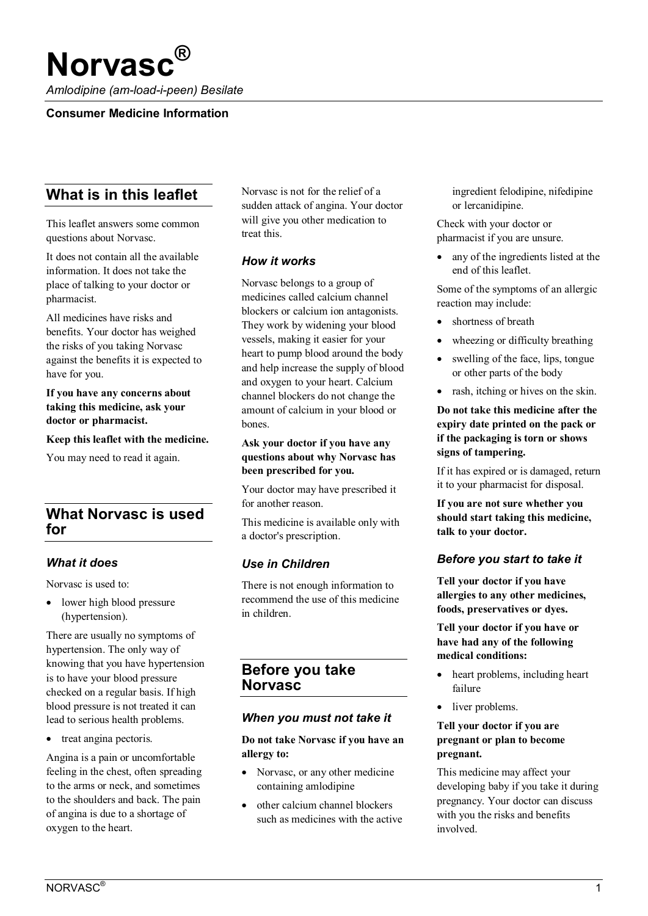# **Norvasc®**

*Amlodipine (am-load-i-peen) Besilate*

#### **Consumer Medicine Information**

# **What is in this leaflet**

This leaflet answers some common questions about Norvasc.

It does not contain all the available information. It does not take the place of talking to your doctor or pharmacist.

All medicines have risks and benefits. Your doctor has weighed the risks of you taking Norvasc against the benefits it is expected to have for you.

**If you have any concerns about taking this medicine, ask your doctor or pharmacist.**

**Keep this leaflet with the medicine.**

You may need to read it again.

# **What Norvasc is used for**

#### *What it does*

Norvasc is used to:

• lower high blood pressure (hypertension).

There are usually no symptoms of hypertension. The only way of knowing that you have hypertension is to have your blood pressure checked on a regular basis. If high blood pressure is not treated it can lead to serious health problems.

• treat angina pectoris.

Angina is a pain or uncomfortable feeling in the chest, often spreading to the arms or neck, and sometimes to the shoulders and back. The pain of angina is due to a shortage of oxygen to the heart.

Norvasc is not for the relief of a sudden attack of angina. Your doctor will give you other medication to treat this.

## *How it works*

Norvasc belongs to a group of medicines called calcium channel blockers or calcium ion antagonists. They work by widening your blood vessels, making it easier for your heart to pump blood around the body and help increase the supply of blood and oxygen to your heart. Calcium channel blockers do not change the amount of calcium in your blood or bones.

#### **Ask your doctor if you have any questions about why Norvasc has been prescribed for you.**

Your doctor may have prescribed it for another reason.

This medicine is available only with a doctor's prescription.

# *Use in Children*

There is not enough information to recommend the use of this medicine in children.

# **Before you take Norvasc**

#### *When you must not take it*

**Do not take Norvasc if you have an allergy to:**

- Norvasc, or any other medicine containing amlodipine
- other calcium channel blockers such as medicines with the active

ingredient felodipine, nifedipine or lercanidipine.

Check with your doctor or pharmacist if you are unsure.

any of the ingredients listed at the end of this leaflet.

Some of the symptoms of an allergic reaction may include:

- shortness of breath
- wheezing or difficulty breathing
- swelling of the face, lips, tongue or other parts of the body
- rash, itching or hives on the skin.

#### **Do not take this medicine after the expiry date printed on the pack or if the packaging is torn or shows signs of tampering.**

If it has expired or is damaged, return it to your pharmacist for disposal.

**If you are not sure whether you should start taking this medicine, talk to your doctor.**

# *Before you start to take it*

**Tell your doctor if you have allergies to any other medicines, foods, preservatives or dyes.**

**Tell your doctor if you have or have had any of the following medical conditions:**

- heart problems, including heart failure
- liver problems.

#### **Tell your doctor if you are pregnant or plan to become pregnant.**

This medicine may affect your developing baby if you take it during pregnancy. Your doctor can discuss with you the risks and benefits involved.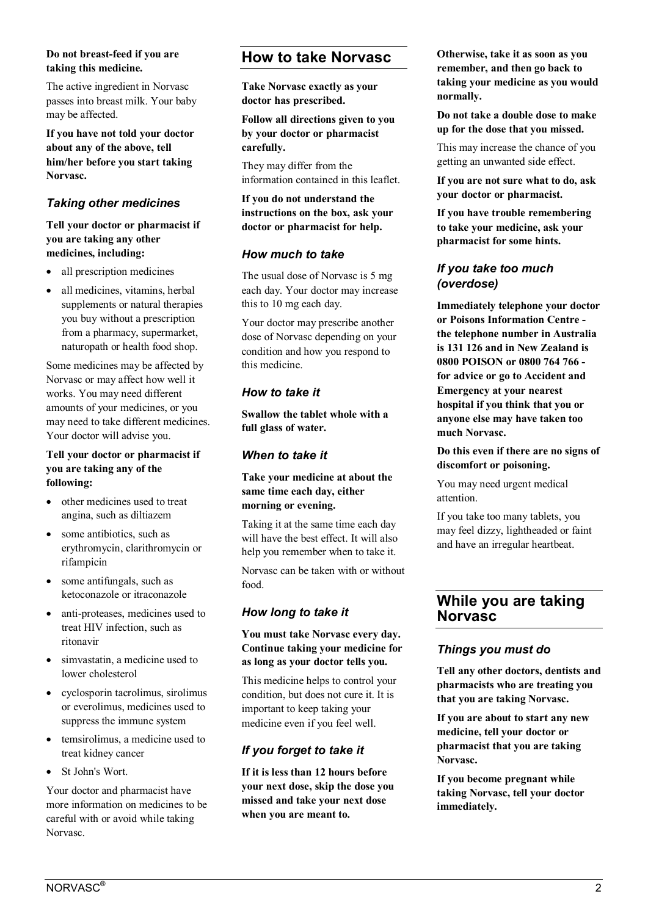#### **Do not breast-feed if you are taking this medicine.**

The active ingredient in Norvasc passes into breast milk. Your baby may be affected.

**If you have not told your doctor about any of the above, tell him/her before you start taking Norvasc.**

# *Taking other medicines*

#### **Tell your doctor or pharmacist if you are taking any other medicines, including:**

- all prescription medicines
- all medicines, vitamins, herbal supplements or natural therapies you buy without a prescription from a pharmacy, supermarket, naturopath or health food shop.

Some medicines may be affected by Norvasc or may affect how well it works. You may need different amounts of your medicines, or you may need to take different medicines. Your doctor will advise you.

#### **Tell your doctor or pharmacist if you are taking any of the following:**

- other medicines used to treat angina, such as diltiazem
- some antibiotics, such as erythromycin, clarithromycin or rifampicin
- some antifungals, such as ketoconazole or itraconazole
- anti-proteases, medicines used to treat HIV infection, such as ritonavir
- simvastatin, a medicine used to lower cholesterol
- cyclosporin tacrolimus, sirolimus or everolimus, medicines used to suppress the immune system
- temsirolimus, a medicine used to treat [kidney cancer](https://en.wikipedia.org/wiki/Kidney_cancer)
- St John's Wort.

Your doctor and pharmacist have more information on medicines to be careful with or avoid while taking Norvasc.

# **How to take Norvasc**

**Take Norvasc exactly as your doctor has prescribed.**

**Follow all directions given to you by your doctor or pharmacist carefully.**

They may differ from the information contained in this leaflet.

**If you do not understand the instructions on the box, ask your doctor or pharmacist for help.**

## *How much to take*

The usual dose of Norvasc is 5 mg each day. Your doctor may increase this to 10 mg each day.

Your doctor may prescribe another dose of Norvasc depending on your condition and how you respond to this medicine.

# *How to take it*

**Swallow the tablet whole with a full glass of water.**

# *When to take it*

#### **Take your medicine at about the same time each day, either morning or evening.**

Taking it at the same time each day will have the best effect. It will also help you remember when to take it.

Norvasc can be taken with or without food.

## *How long to take it*

#### **You must take Norvasc every day. Continue taking your medicine for as long as your doctor tells you.**

This medicine helps to control your condition, but does not cure it. It is important to keep taking your medicine even if you feel well.

# *If you forget to take it*

**If it is less than 12 hours before your next dose, skip the dose you missed and take your next dose when you are meant to.**

**Otherwise, take it as soon as you remember, and then go back to taking your medicine as you would normally.**

**Do not take a double dose to make up for the dose that you missed.**

This may increase the chance of you getting an unwanted side effect.

**If you are not sure what to do, ask your doctor or pharmacist.**

**If you have trouble remembering to take your medicine, ask your pharmacist for some hints.**

## *If you take too much (overdose)*

**Immediately telephone your doctor or Poisons Information Centre the telephone number in Australia is 131 126 and in New Zealand is 0800 POISON or 0800 764 766 for advice or go to Accident and Emergency at your nearest hospital if you think that you or anyone else may have taken too much Norvasc.**

**Do this even if there are no signs of discomfort or poisoning.**

You may need urgent medical attention.

If you take too many tablets, you may feel dizzy, lightheaded or faint and have an irregular heartbeat.

# **While you are taking Norvasc**

## *Things you must do*

**Tell any other doctors, dentists and pharmacists who are treating you that you are taking Norvasc.**

**If you are about to start any new medicine, tell your doctor or pharmacist that you are taking Norvasc.**

**If you become pregnant while taking Norvasc, tell your doctor immediately.**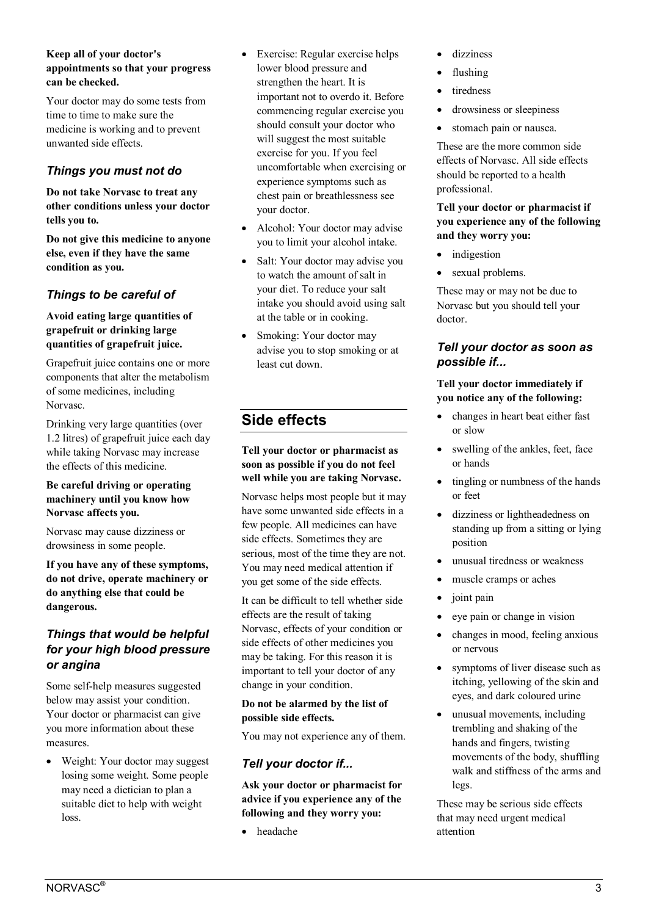#### **Keep all of your doctor's appointments so that your progress can be checked.**

Your doctor may do some tests from time to time to make sure the medicine is working and to prevent unwanted side effects.

# *Things you must not do*

**Do not take Norvasc to treat any other conditions unless your doctor tells you to.**

**Do not give this medicine to anyone else, even if they have the same condition as you.**

# *Things to be careful of*

#### **Avoid eating large quantities of grapefruit or drinking large quantities of grapefruit juice.**

Grapefruit juice contains one or more components that alter the metabolism of some medicines, including Norvasc.

Drinking very large quantities (over 1.2 litres) of grapefruit juice each day while taking Norvasc may increase the effects of this medicine.

#### **Be careful driving or operating machinery until you know how Norvasc affects you.**

Norvasc may cause dizziness or drowsiness in some people.

**If you have any of these symptoms, do not drive, operate machinery or do anything else that could be dangerous.**

# *Things that would be helpful for your high blood pressure or angina*

Some self-help measures suggested below may assist your condition. Your doctor or pharmacist can give you more information about these measures.

• Weight: Your doctor may suggest losing some weight. Some people may need a dietician to plan a suitable diet to help with weight loss.

- Exercise: Regular exercise helps lower blood pressure and strengthen the heart. It is important not to overdo it. Before commencing regular exercise you should consult your doctor who will suggest the most suitable exercise for you. If you feel uncomfortable when exercising or experience symptoms such as chest pain or breathlessness see your doctor.
- Alcohol: Your doctor may advise you to limit your alcohol intake.
- Salt: Your doctor may advise you to watch the amount of salt in your diet. To reduce your salt intake you should avoid using salt at the table or in cooking.
- Smoking: Your doctor may advise you to stop smoking or at least cut down.

# **Side effects**

**Tell your doctor or pharmacist as soon as possible if you do not feel well while you are taking Norvasc.**

Norvasc helps most people but it may have some unwanted side effects in a few people. All medicines can have side effects. Sometimes they are serious, most of the time they are not. You may need medical attention if you get some of the side effects.

It can be difficult to tell whether side effects are the result of taking Norvasc, effects of your condition or side effects of other medicines you may be taking. For this reason it is important to tell your doctor of any change in your condition.

**Do not be alarmed by the list of possible side effects.**

You may not experience any of them.

# *Tell your doctor if...*

**Ask your doctor or pharmacist for advice if you experience any of the following and they worry you:**

• headache

- dizziness
- flushing
- tiredness
- drowsiness or sleepiness
- stomach pain or nausea.

These are the more common side effects of Norvasc. All side effects should be reported to a health professional.

#### **Tell your doctor or pharmacist if you experience any of the following and they worry you:**

- indigestion
- sexual problems.

These may or may not be due to Norvasc but you should tell your doctor.

# *Tell your doctor as soon as possible if...*

## **Tell your doctor immediately if you notice any of the following:**

- changes in heart beat either fast or slow
- swelling of the ankles, feet, face or hands
- tingling or numbness of the hands or feet
- dizziness or lightheadedness on standing up from a sitting or lying position
- unusual tiredness or weakness
- muscle cramps or aches
- joint pain
- eye pain or change in vision
- changes in mood, feeling anxious or nervous
- symptoms of liver disease such as itching, yellowing of the skin and eyes, and dark coloured urine
- unusual movements, including trembling and shaking of the hands and fingers, twisting movements of the body, shuffling walk and stiffness of the arms and legs.

These may be serious side effects that may need urgent medical attention